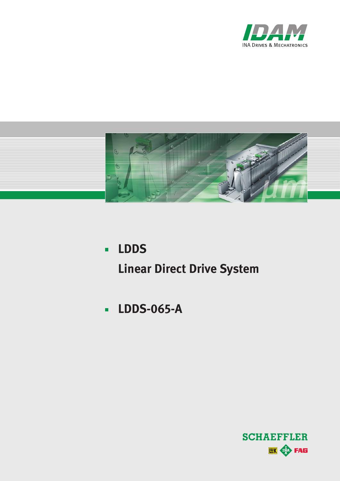



- **LDDS Linear Direct Drive System**
- **LDDS-065-A**

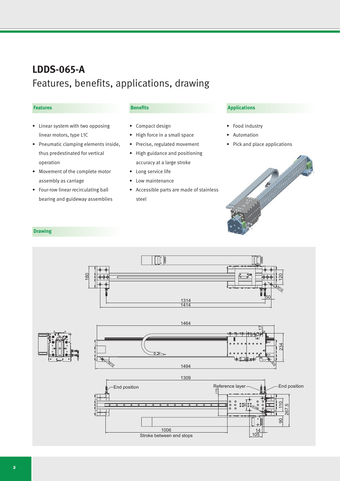## **LDDS-065-A** Features, benefits, applications, drawing

#### **Features**

### **Benefits**

- • Linear system with two opposing linear motors, type L1C
- • Pneumatic clamping elements inside, thus predestinated for vertical operation
- • Movement of the complete motor assembly as carriage
- • Four-row linear recirculating ball bearing and guideway assemblies

### • Compact design

- • High force in a small space
- • Precise, regulated movement
- • High guidance and positioning accuracy at a large stroke
- • Long service life
- Low maintenance
- • Accessible parts are made of stainless steel

#### **Applications**

- Food industry
- **Automation**
- • Pick and place applications



#### **Drawing**

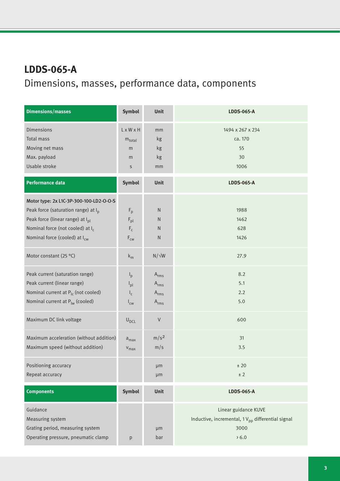# **LDDS-065-A** Dimensions, masses, performance data, components

| <b>Dimensions/masses</b>                        | <b>Symbol</b>              | <b>Unit</b>      | <b>LDDS-065-A</b>                                            |
|-------------------------------------------------|----------------------------|------------------|--------------------------------------------------------------|
| <b>Dimensions</b>                               | L x W x H                  | mm               | 1494 x 267 x 234                                             |
| <b>Total mass</b>                               | $m_{\text{total}}$         | kg               | ca. 170                                                      |
| Moving net mass                                 | m                          | kg               | 55                                                           |
| Max. payload                                    | m                          | kg               | 30                                                           |
| Usable stroke                                   | $\sf S$                    | mm               | 1006                                                         |
| <b>Performance data</b>                         | Symbol                     | Unit             | <b>LDDS-065-A</b>                                            |
| Motor type: 2x L1C-3P-300-100-LD2-O-O-S         |                            |                  |                                                              |
| Peak force (saturation range) at I <sub>p</sub> | $F_p$                      | $\mathsf{N}$     | 1988                                                         |
| Peak force (linear range) at I <sub>pl</sub>    | $\mathsf{F}_{\mathsf{pl}}$ | $\mathsf{N}$     | 1462                                                         |
| Nominal force (not cooled) at I <sub>c</sub>    | $F_c$                      | ${\sf N}$        | 628                                                          |
| Nominal force (cooled) at I <sub>cw</sub>       | $F_{cw}$                   | N                | 1426                                                         |
| Motor constant (25 °C)                          | $k_m$                      | $N/\sqrt{W}$     | 27.9                                                         |
| Peak current (saturation range)                 | $I_p$                      | $A_{rms}$        | 8.2                                                          |
| Peak current (linear range)                     | $I_{\text{pl}}$            | $A_{rms}$        | 5.1                                                          |
| Nominal current at $P_{lc}$ (not cooled)        | $I_c$                      | $A_{rms}$        | 2.2                                                          |
| Nominal current at $P_{lw}$ (cooled)            | $I_{\text{cw}}$            | $A_{rms}$        | 5.0                                                          |
| Maximum DC link voltage                         | $U_{DCL}$                  | V                | 600                                                          |
| Maximum acceleration (without addition)         | $a_{max}$                  | m/s <sup>2</sup> | 31                                                           |
| Maximum speed (without addition)                | $V_{max}$                  | m/s              | 3.5                                                          |
| Positioning accuracy                            |                            | µm               | ± 20                                                         |
| Repeat accuracy                                 |                            | µm               | $\pm$ 2                                                      |
| <b>Components</b>                               | Symbol                     | Unit             | <b>LDDS-065-A</b>                                            |
| Guidance                                        |                            |                  | Linear guidance KUVE                                         |
| Measuring system                                |                            |                  | Inductive, incremental, $1V_{\text{pp}}$ differential signal |
| Grating period, measuring system                |                            | μm               | 3000                                                         |
| Operating pressure, pneumatic clamp             | p                          | bar              | > 6.0                                                        |